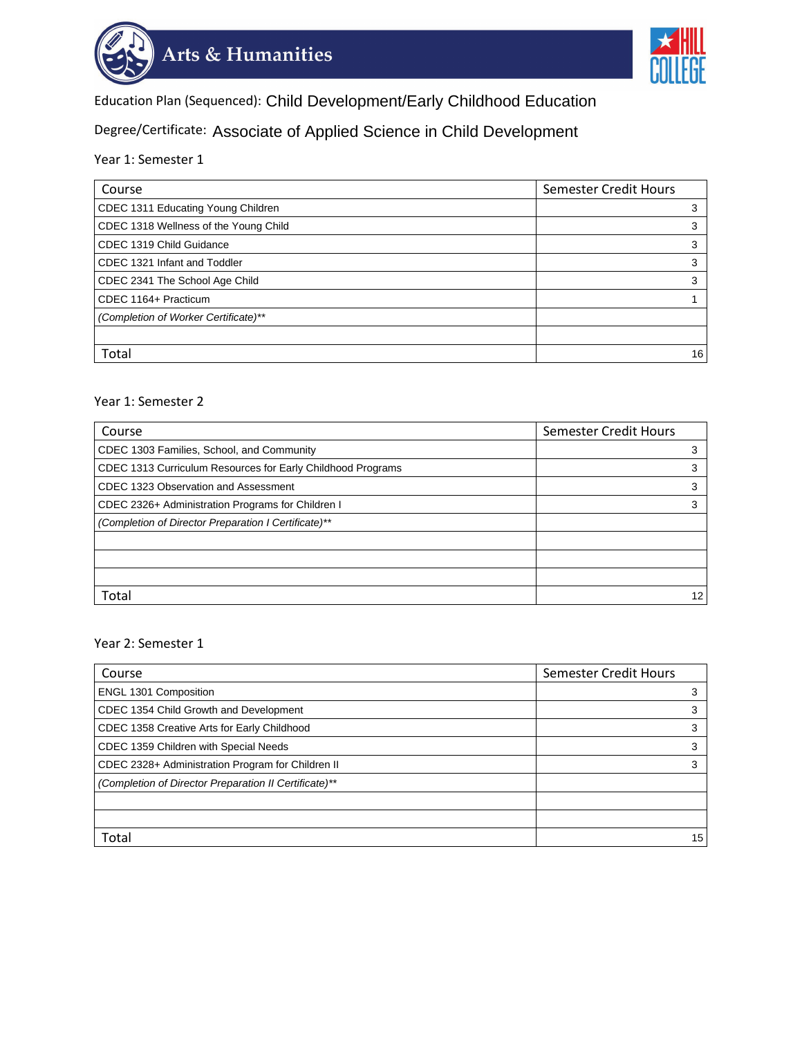



Education Plan (Sequenced): Child Development/Early Childhood Education

Education Plan (Sequenced): Child Development/Early Childhood Education<br><sub>Degree/Certificate:</sup> Associate of Applied Science in Child Development</sub>

Year 1: Semester 1

| Course                                | <b>Semester Credit Hours</b> |
|---------------------------------------|------------------------------|
| CDEC 1311 Educating Young Children    | 3                            |
| CDEC 1318 Wellness of the Young Child | 3                            |
| CDEC 1319 Child Guidance              | 3                            |
| CDEC 1321 Infant and Toddler          | 3                            |
| CDEC 2341 The School Age Child        | 3                            |
| CDEC 1164+ Practicum                  |                              |
| (Completion of Worker Certificate)**  |                              |
|                                       |                              |
| Total                                 | 16                           |

## Year 1: Semester 2

| Course                                                      | Semester Credit Hours |
|-------------------------------------------------------------|-----------------------|
| CDEC 1303 Families, School, and Community                   |                       |
| CDEC 1313 Curriculum Resources for Early Childhood Programs | 3                     |
| CDEC 1323 Observation and Assessment                        | 3                     |
| CDEC 2326+ Administration Programs for Children I           |                       |
| (Completion of Director Preparation I Certificate)**        |                       |
|                                                             |                       |
|                                                             |                       |
|                                                             |                       |
| Total                                                       | 12                    |

## Year 2: Semester 1

| Course                                                | Semester Credit Hours |
|-------------------------------------------------------|-----------------------|
| <b>ENGL 1301 Composition</b>                          | 3                     |
| CDEC 1354 Child Growth and Development                | 3                     |
| CDEC 1358 Creative Arts for Early Childhood           | 3                     |
| CDEC 1359 Children with Special Needs                 | 3                     |
| CDEC 2328+ Administration Program for Children II     | 3                     |
| (Completion of Director Preparation II Certificate)** |                       |
|                                                       |                       |
|                                                       |                       |
| Total                                                 | 15                    |